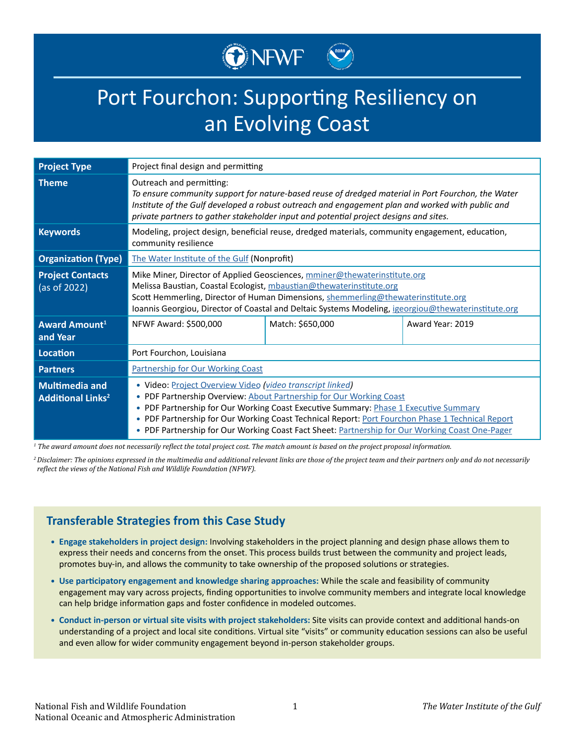# ONEWF

# Port Fourchon: Supporting Resiliency on an Evolving Coast

| <b>Project Type</b>                                          | Project final design and permitting                                                                                                                                                                                                                                                                                                                                                                                                |                  |                  |
|--------------------------------------------------------------|------------------------------------------------------------------------------------------------------------------------------------------------------------------------------------------------------------------------------------------------------------------------------------------------------------------------------------------------------------------------------------------------------------------------------------|------------------|------------------|
| <b>Theme</b>                                                 | Outreach and permitting:<br>To ensure community support for nature-based reuse of dredged material in Port Fourchon, the Water<br>Institute of the Gulf developed a robust outreach and engagement plan and worked with public and<br>private partners to gather stakeholder input and potential project designs and sites.                                                                                                        |                  |                  |
| <b>Keywords</b>                                              | Modeling, project design, beneficial reuse, dredged materials, community engagement, education,<br>community resilience                                                                                                                                                                                                                                                                                                            |                  |                  |
| <b>Organization (Type)</b>                                   | The Water Institute of the Gulf (Nonprofit)                                                                                                                                                                                                                                                                                                                                                                                        |                  |                  |
| <b>Project Contacts</b><br>(as of 2022)                      | Mike Miner, Director of Applied Geosciences, mminer@thewaterinstitute.org<br>Melissa Baustian, Coastal Ecologist, mbaustian@thewaterinstitute.org<br>Scott Hemmerling, Director of Human Dimensions, shemmerling@thewaterinstitute.org<br>Ioannis Georgiou, Director of Coastal and Deltaic Systems Modeling, igeorgiou@thewaterinstitute.org                                                                                      |                  |                  |
| <b>Award Amount1</b><br>and Year                             | NFWF Award: \$500,000                                                                                                                                                                                                                                                                                                                                                                                                              | Match: \$650,000 | Award Year: 2019 |
| <b>Location</b>                                              | Port Fourchon, Louisiana                                                                                                                                                                                                                                                                                                                                                                                                           |                  |                  |
| <b>Partners</b>                                              | <b>Partnership for Our Working Coast</b>                                                                                                                                                                                                                                                                                                                                                                                           |                  |                  |
| <b>Multimedia and</b><br><b>Additional Links<sup>2</sup></b> | · Video: Project Overview Video (video transcript linked)<br>• PDF Partnership Overview: About Partnership for Our Working Coast<br>PDF Partnership for Our Working Coast Executive Summary: Phase 1 Executive Summary<br>۰<br>. PDF Partnership for Our Working Coast Technical Report: Port Fourchon Phase 1 Technical Report<br>. PDF Partnership for Our Working Coast Fact Sheet: Partnership for Our Working Coast One-Pager |                  |                  |

*1 The award amount does not necessarily reflect the total project cost. The match amount is based on the project proposal information.*

*<sup>2</sup>Disclaimer: The opinions expressed in the multimedia and additional relevant links are those of the project team and their partners only and do not necessarily reflect the views of the National Fish and Wildlife Foundation (NFWF).*

## **Transferable Strategies from this Case Study**

- **• Engage stakeholders in project design:** Involving stakeholders in the project planning and design phase allows them to express their needs and concerns from the onset. This process builds trust between the community and project leads, promotes buy-in, and allows the community to take ownership of the proposed solutions or strategies.
- **• Use participatory engagement and knowledge sharing approaches:** While the scale and feasibility of community engagement may vary across projects, finding opportunities to involve community members and integrate local knowledge can help bridge information gaps and foster confidence in modeled outcomes.
- **• Conduct in-person or virtual site visits with project stakeholders:** Site visits can provide context and additional hands-on understanding of a project and local site conditions. Virtual site "visits" or community education sessions can also be useful and even allow for wider community engagement beyond in-person stakeholder groups.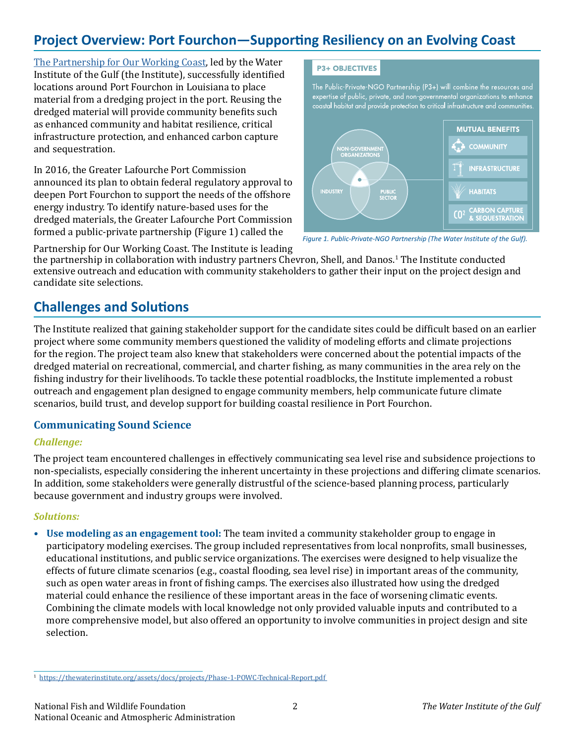# **Project Overview: Port Fourchon—Supporting Resiliency on an Evolving Coast**

[The Partnership for Our Working Coast](https://thewaterinstitute.org/projects/partnership-for-our-working-coast), led by the Water Institute of the Gulf (the Institute), successfully identified locations around Port Fourchon in Louisiana to place material from a dredging project in the port. Reusing the dredged material will provide community benefits such as enhanced community and habitat resilience, critical infrastructure protection, and enhanced carbon capture and sequestration.

In 2016, the Greater Lafourche Port Commission announced its plan to obtain federal regulatory approval to deepen Port Fourchon to support the needs of the offshore energy industry. To identify nature-based uses for the dredged materials, the Greater Lafourche Port Commission<br>formed a public-private partnership (Figure 1) called the

#### **P3+ OBJECTIVES**

The Public-Private-NGO Partnership (P3+) will combine the resources and expertise of public, private, and non-governmental organizations to enhance coastal habitat and provide protection to critical infrastructure and communities.



Figure 1. Public-Private-NGO Partnership (The Water Institute of the Gulf).

Partnership for Our Working Coast. The Institute is leading

the partnership in collaboration with industry partners Chevron, Shell, and Danos.<sup>1</sup> The Institute conducted extensive outreach and education with community stakeholders to gather their input on the project design and candidate site selections.

## **Challenges and Solutions**

The Institute realized that gaining stakeholder support for the candidate sites could be difficult based on an earlier project where some community members questioned the validity of modeling efforts and climate projections for the region. The project team also knew that stakeholders were concerned about the potential impacts of the dredged material on recreational, commercial, and charter fishing, as many communities in the area rely on the fishing industry for their livelihoods. To tackle these potential roadblocks, the Institute implemented a robust outreach and engagement plan designed to engage community members, help communicate future climate scenarios, build trust, and develop support for building coastal resilience in Port Fourchon.

### **Communicating Sound Science**

### *Challenge:*

The project team encountered challenges in effectively communicating sea level rise and subsidence projections to non-specialists, especially considering the inherent uncertainty in these projections and differing climate scenarios. In addition, some stakeholders were generally distrustful of the science-based planning process, particularly because government and industry groups were involved.

### *Solutions:*

**• Use modeling as an engagement tool:** The team invited a community stakeholder group to engage in participatory modeling exercises. The group included representatives from local nonprofits, small businesses, educational institutions, and public service organizations. The exercises were designed to help visualize the effects of future climate scenarios (e.g., coastal flooding, sea level rise) in important areas of the community, such as open water areas in front of fishing camps. The exercises also illustrated how using the dredged material could enhance the resilience of these important areas in the face of worsening climatic events. Combining the climate models with local knowledge not only provided valuable inputs and contributed to a more comprehensive model, but also offered an opportunity to involve communities in project design and site selection.

<sup>1</sup> <https://thewaterinstitute.org/assets/docs/projects/Phase-1-POWC-Technical-Report.pdf>